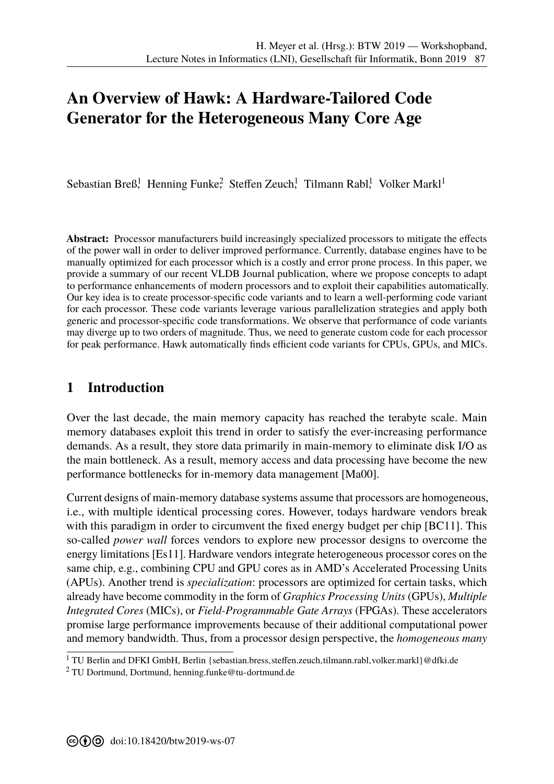# **An Overview of Hawk: A Hardware-Tailored Code Generator for the Heterogeneous Many Core Age**

Sebastian Breß<sup>1</sup>, Henning Funke<sup>2</sup>, Steffen Zeuch<sup>1</sup>, Tilmann Rabl<sup>1</sup>, Volker Markl<sup>1</sup>

**Abstract:** Processor manufacturers build increasingly specialized processors to mitigate the effects of the power wall in order to deliver improved performance. Currently, database engines have to be manually optimized for each processor which is a costly and error prone process. In this paper, we provide a summary of our recent VLDB Journal publication, where we propose concepts to adapt to performance enhancements of modern processors and to exploit their capabilities automatically. Our key idea is to create processor-specific code variants and to learn a well-performing code variant for each processor. These code variants leverage various parallelization strategies and apply both generic and processor-specific code transformations. We observe that performance of code variants may diverge up to two orders of magnitude. Thus, we need to generate custom code for each processor for peak performance. Hawk automatically finds efficient code variants for CPUs, GPUs, and MICs.

### **1 Introduction**

Over the last decade, the main memory capacity has reached the terabyte scale. Main memory databases exploit this trend in order to satisfy the ever-increasing performance demands. As a result, they store data primarily in main-memory to eliminate disk I/O as the main bottleneck. As a result, memory access and data processing have become the new performance bottlenecks for in-memory data management [Ma00].

Current designs of main-memory database systems assume that processors are homogeneous, i.e., with multiple identical processing cores. However, todays hardware vendors break with this paradigm in order to circumvent the fixed energy budget per chip [BC11]. This so-called *power wall* forces vendors to explore new processor designs to overcome the energy limitations [Es11]. Hardware vendors integrate heterogeneous processor cores on the same chip, e.g., combining CPU and GPU cores as in AMD's Accelerated Processing Units (APUs). Another trend is *specialization*: processors are optimized for certain tasks, which already have become commodity in the form of *Graphics Processing Units* (GPUs), *Multiple Integrated Cores* (MICs), or *Field-Programmable Gate Arrays* (FPGAs). These accelerators promise large performance improvements because of their additional computational power and memory bandwidth. Thus, from a processor design perspective, the *homogeneous many*

<sup>&</sup>lt;sup>1</sup> TU Berlin and DFKI GmbH, Berlin {sebastian.bress, steffen.zeuch, tilmann.rabl, volker.markl}@dfki.de

<sup>&</sup>lt;sup>2</sup> TU Dortmund, Dortmund, henning.funke@tu-dortmund.de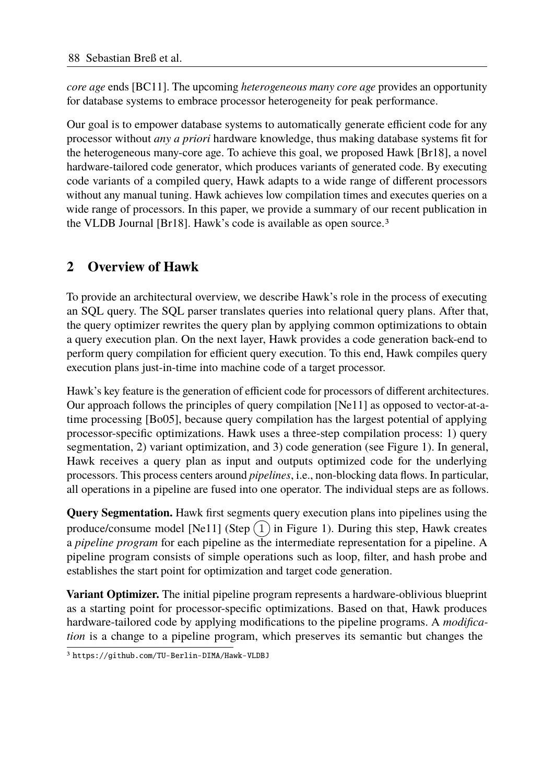*core age* ends [BC11]. The upcoming *heterogeneous many core age* provides an opportunity for database systems to embrace processor heterogeneity for peak performance.

Our goal is to empower database systems to automatically generate efficient code for any processor without *any a priori* hardware knowledge, thus making database systems fit for the heterogeneous many-core age. To achieve this goal, we proposed Hawk [Br18], a novel hardware-tailored code generator, which produces variants of generated code. By executing code variants of a compiled query, Hawk adapts to a wide range of different processors without any manual tuning. Hawk achieves low compilation times and executes queries on a wide range of processors. In this paper, we provide a summary of our recent publication in the VLDB Journal [Br18]. Hawk's code is available as open source.3

# **2 Overview of Hawk**

To provide an architectural overview, we describe Hawk's role in the process of executing an SQL query. The SQL parser translates queries into relational query plans. After that, the query optimizer rewrites the query plan by applying common optimizations to obtain a query execution plan. On the next layer, Hawk provides a code generation back-end to perform query compilation for efficient query execution. To this end, Hawk compiles query execution plans just-in-time into machine code of a target processor.

Hawk's key feature is the generation of efficient code for processors of different architectures. Our approach follows the principles of query compilation [Ne11] as opposed to vector-at-atime processing [Bo05], because query compilation has the largest potential of applying processor-specific optimizations. Hawk uses a three-step compilation process: 1) query segmentation, 2) variant optimization, and 3) code generation (see Figure 1). In general, Hawk receives a query plan as input and outputs optimized code for the underlying processors. This process centers around *pipelines*, i.e., non-blocking data flows. In particular, all operations in a pipeline are fused into one operator. The individual steps are as follows.

**Query Segmentation.** Hawk first segments query execution plans into pipelines using the produce/consume model [Ne11] (Step  $(1)$  in Figure 1). During this step, Hawk creates a *pipeline program* for each pipeline as the intermediate representation for a pipeline. A pipeline program consists of simple operations such as loop, filter, and hash probe and establishes the start point for optimization and target code generation.

**Variant Optimizer.** The initial pipeline program represents a hardware-oblivious blueprint as a starting point for processor-specific optimizations. Based on that, Hawk produces hardware-tailored code by applying modifications to the pipeline programs. A *modification* is a change to a pipeline program, which preserves its semantic but changes the

<sup>3</sup> https://github.com/TU-Berlin-DIMA/Hawk-VLDBJ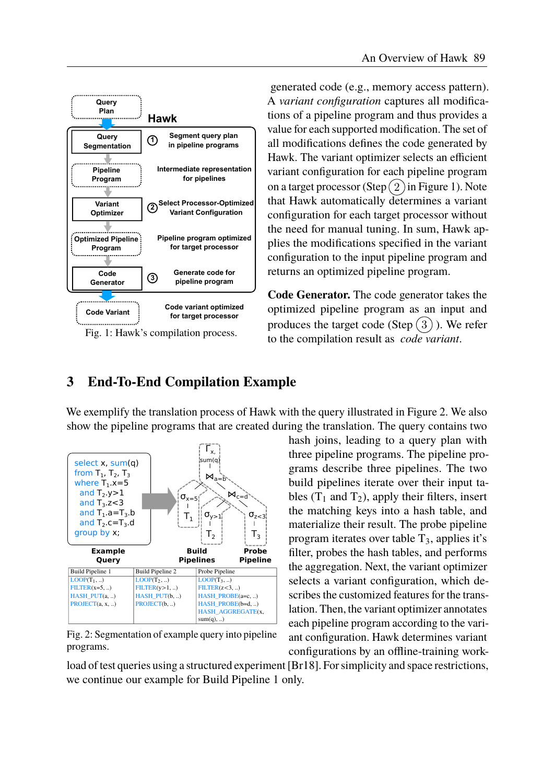

Fig. 1: Hawk's compilation process.

generated code (e.g., memory access pattern). A *variant configuration* captures all modifications of a pipeline program and thus provides a value for each supported modification. The set of all modifications defines the code generated by Hawk. The variant optimizer selects an efficient variant configuration for each pipeline program on a target processor (Step $(2)$  in Figure 1). Note that Hawk automatically determines a variant configuration for each target processor without the need for manual tuning. In sum, Hawk applies the modifications specified in the variant configuration to the input pipeline program and returns an optimized pipeline program.

**Code Generator.** The code generator takes the optimized pipeline program as an input and produces the target code  $(Step(3))$ . We refer to the compilation result as *code variant*.

## **3 End-To-End Compilation Example**

We exemplify the translation process of Hawk with the query illustrated in Figure 2. We also show the pipeline programs that are created during the translation. The query contains two



Fig. 2: Segmentation of example query into pipeline programs.

hash joins, leading to a query plan with three pipeline programs. The pipeline programs describe three pipelines. The two build pipelines iterate over their input tables  $(T_1$  and  $T_2$ ), apply their filters, insert the matching keys into a hash table, and materialize their result. The probe pipeline program iterates over table  $T_3$ , applies it's filter, probes the hash tables, and performs the aggregation. Next, the variant optimizer selects a variant configuration, which describes the customized features for the translation. Then, the variant optimizer annotates each pipeline program according to the variant configuration. Hawk determines variant configurations by an offline-training work-

load of test queries using a structured experiment [Br18]. For simplicity and space restrictions, we continue our example for Build Pipeline 1 only.